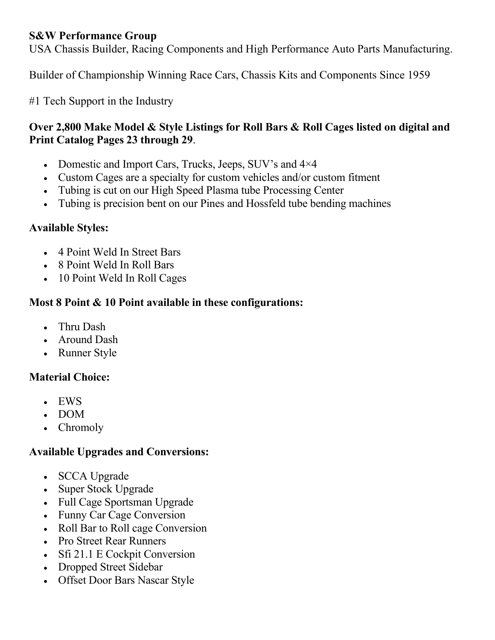#### **S&W Performance Group**

USA Chassis Builder, Racing Components and High Performance Auto Parts Manufacturing.

Builder of Championship Winning Race Cars, Chassis Kits and Components Since 1959

#1 Tech Support in the Industry

### **Over 2,800 Make Model & Style Listings for Roll Bars & Roll Cages listed on digital and Print Catalog Pages 23 through 29**.

- Domestic and Import Cars, Trucks, Jeeps, SUV's and  $4\times4$
- Custom Cages are a specialty for custom vehicles and/or custom fitment
- Tubing is cut on our High Speed Plasma tube Processing Center
- Tubing is precision bent on our Pines and Hossfeld tube bending machines

#### **Available Styles:**

- 4 Point Weld In Street Bars
- 8 Point Weld In Roll Bars
- 10 Point Weld In Roll Cages

#### **Most 8 Point & 10 Point available in these configurations:**

- Thru Dash
- Around Dash
- Runner Style

#### **Material Choice:**

- EWS
- DOM
- Chromoly

#### **Available Upgrades and Conversions:**

- SCCA Upgrade
- Super Stock Upgrade
- Full Cage Sportsman Upgrade
- Funny Car Cage Conversion
- Roll Bar to Roll cage Conversion
- Pro Street Rear Runners
- Sfi 21.1 E Cockpit Conversion
- Dropped Street Sidebar
- Offset Door Bars Nascar Style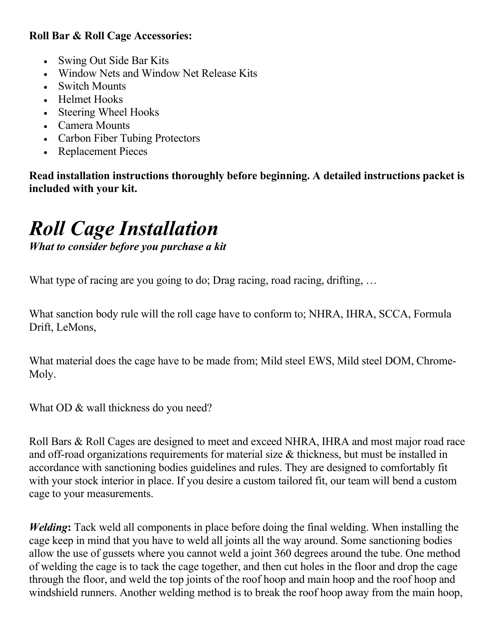### **Roll Bar & Roll Cage Accessories:**

- Swing Out Side Bar Kits
- Window Nets and Window Net Release Kits
- Switch Mounts
- Helmet Hooks
- Steering Wheel Hooks
- Camera Mounts
- Carbon Fiber Tubing Protectors
- Replacement Pieces

**Read installation instructions thoroughly before beginning. A detailed instructions packet is included with your kit.**

## *Roll Cage Installation*

*What to consider before you purchase a kit*

What type of racing are you going to do; Drag racing, road racing, drifting, ...

What sanction body rule will the roll cage have to conform to; NHRA, IHRA, SCCA, Formula Drift, LeMons,

What material does the cage have to be made from; Mild steel EWS, Mild steel DOM, Chrome-Moly.

What OD & wall thickness do you need?

Roll Bars & Roll Cages are designed to meet and exceed NHRA, IHRA and most major road race and off-road organizations requirements for material size & thickness, but must be installed in accordance with sanctioning bodies guidelines and rules. They are designed to comfortably fit with your stock interior in place. If you desire a custom tailored fit, our team will bend a custom cage to your measurements.

*Welding***:** Tack weld all components in place before doing the final welding. When installing the cage keep in mind that you have to weld all joints all the way around. Some sanctioning bodies allow the use of gussets where you cannot weld a joint 360 degrees around the tube. One method of welding the cage is to tack the cage together, and then cut holes in the floor and drop the cage through the floor, and weld the top joints of the roof hoop and main hoop and the roof hoop and windshield runners. Another welding method is to break the roof hoop away from the main hoop,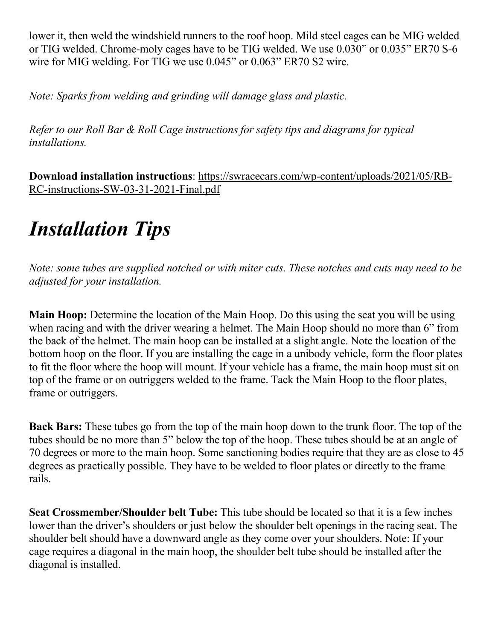lower it, then weld the windshield runners to the roof hoop. Mild steel cages can be MIG welded or TIG welded. Chrome-moly cages have to be TIG welded. We use 0.030" or 0.035" ER70 S-6 wire for MIG welding. For TIG we use 0.045" or 0.063" ER70 S2 wire.

*Note: Sparks from welding and grinding will damage glass and plastic.*

*Refer to our Roll Bar & Roll Cage instructions for safety tips and diagrams for typical installations.*

**Download installation instructions**: [https://swracecars.com/wp-content/uploads/2021/05/RB-](https://swracecars.com/wp-content/uploads/2021/05/RB-RC-instructions-SW-03-31-2021-Final.pdf)[RC-instructions-SW-03-31-2021-Final.pdf](https://swracecars.com/wp-content/uploads/2021/05/RB-RC-instructions-SW-03-31-2021-Final.pdf)

# *Installation Tips*

*Note: some tubes are supplied notched or with miter cuts. These notches and cuts may need to be adjusted for your installation.*

**Main Hoop:** Determine the location of the Main Hoop. Do this using the seat you will be using when racing and with the driver wearing a helmet. The Main Hoop should no more than 6" from the back of the helmet. The main hoop can be installed at a slight angle. Note the location of the bottom hoop on the floor. If you are installing the cage in a unibody vehicle, form the floor plates to fit the floor where the hoop will mount. If your vehicle has a frame, the main hoop must sit on top of the frame or on outriggers welded to the frame. Tack the Main Hoop to the floor plates, frame or outriggers.

**Back Bars:** These tubes go from the top of the main hoop down to the trunk floor. The top of the tubes should be no more than 5" below the top of the hoop. These tubes should be at an angle of 70 degrees or more to the main hoop. Some sanctioning bodies require that they are as close to 45 degrees as practically possible. They have to be welded to floor plates or directly to the frame rails.

**Seat Crossmember/Shoulder belt Tube:** This tube should be located so that it is a few inches lower than the driver's shoulders or just below the shoulder belt openings in the racing seat. The shoulder belt should have a downward angle as they come over your shoulders. Note: If your cage requires a diagonal in the main hoop, the shoulder belt tube should be installed after the diagonal is installed.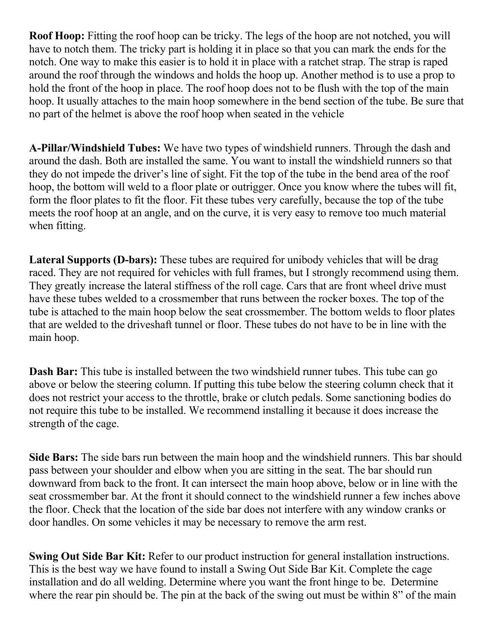**Roof Hoop:** Fitting the roof hoop can be tricky. The legs of the hoop are not notched, you will have to notch them. The tricky part is holding it in place so that you can mark the ends for the notch. One way to make this easier is to hold it in place with a ratchet strap. The strap is raped around the roof through the windows and holds the hoop up. Another method is to use a prop to hold the front of the hoop in place. The roof hoop does not to be flush with the top of the main hoop. It usually attaches to the main hoop somewhere in the bend section of the tube. Be sure that no part of the helmet is above the roof hoop when seated in the vehicle

**A-Pillar/Windshield Tubes:** We have two types of windshield runners. Through the dash and around the dash. Both are installed the same. You want to install the windshield runners so that they do not impede the driver's line of sight. Fit the top of the tube in the bend area of the roof hoop, the bottom will weld to a floor plate or outrigger. Once you know where the tubes will fit, form the floor plates to fit the floor. Fit these tubes very carefully, because the top of the tube meets the roof hoop at an angle, and on the curve, it is very easy to remove too much material when fitting.

**Lateral Supports (D-bars):** These tubes are required for unibody vehicles that will be drag raced. They are not required for vehicles with full frames, but I strongly recommend using them. They greatly increase the lateral stiffness of the roll cage. Cars that are front wheel drive must have these tubes welded to a crossmember that runs between the rocker boxes. The top of the tube is attached to the main hoop below the seat crossmember. The bottom welds to floor plates that are welded to the driveshaft tunnel or floor. These tubes do not have to be in line with the main hoop.

**Dash Bar:** This tube is installed between the two windshield runner tubes. This tube can go above or below the steering column. If putting this tube below the steering column check that it does not restrict your access to the throttle, brake or clutch pedals. Some sanctioning bodies do not require this tube to be installed. We recommend installing it because it does increase the strength of the cage.

**Side Bars:** The side bars run between the main hoop and the windshield runners. This bar should pass between your shoulder and elbow when you are sitting in the seat. The bar should run downward from back to the front. It can intersect the main hoop above, below or in line with the seat crossmember bar. At the front it should connect to the windshield runner a few inches above the floor. Check that the location of the side bar does not interfere with any window cranks or door handles. On some vehicles it may be necessary to remove the arm rest.

**Swing Out Side Bar Kit:** Refer to our product instruction for general installation instructions. This is the best way we have found to install a Swing Out Side Bar Kit. Complete the cage installation and do all welding. Determine where you want the front hinge to be. Determine where the rear pin should be. The pin at the back of the swing out must be within 8" of the main